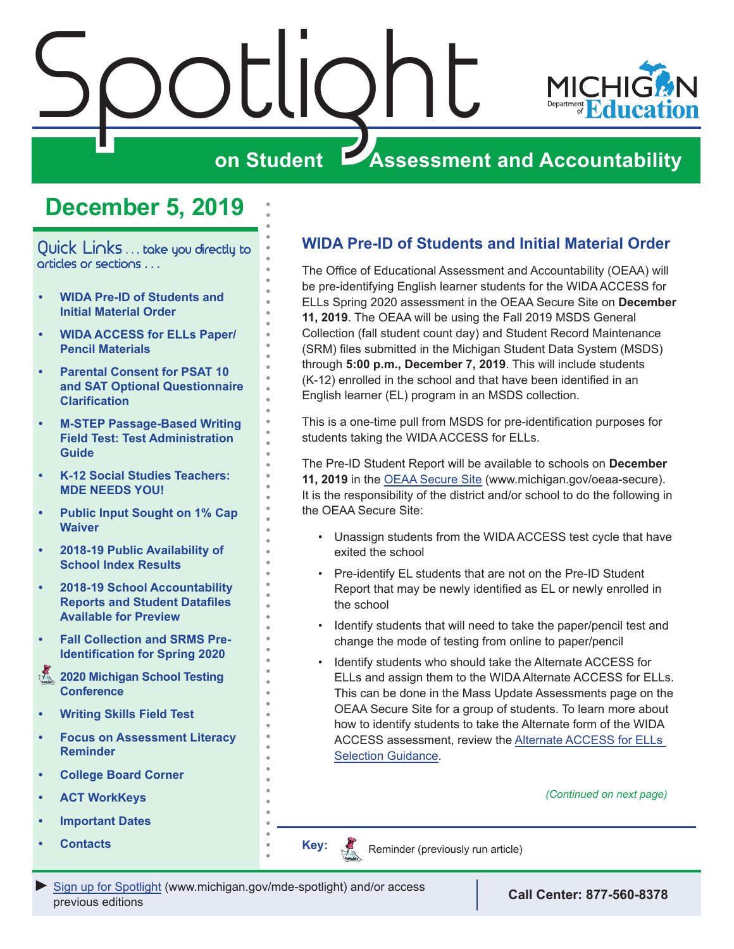<span id="page-0-0"></span>



### **on Student Assessment and Accountability**

## **December 5, 2019**

Quick Links ... take you directly to articles or sections . . .

- **• WIDA Pre-ID of Students and Initial Material Order**
- **• [WIDA ACCESS for ELLs Paper/](#page-1-0) [Pencil Materials](#page-1-0)**
- **• [Parental Consent for PSAT 10](#page-2-0)  [and SAT Optional Questionnaire](#page-2-0)  [Clarification](#page-2-0)**
- **• [M-STEP Passage-Based Writing](#page-2-0)  [Field Test: Test Administration](#page-2-0)  [Guide](#page-2-0)**
- **• [K-12 Social Studies Teachers:](#page-3-0)  [MDE NEEDS YOU!](#page-3-0)**
- **• [Public Input Sought on 1% Cap](#page-4-0)  [Waiver](#page-4-0)**
- **• [2018-19 Public Availability of](#page-5-0)  [School Index Results](#page-5-0)**
- **• [2018-19 School Accountability](#page-5-0)  [Reports and Student Datafiles](#page-5-0)  [Available for Preview](#page-5-0)**
- **• [Fall Collection and SRMS Pre-](#page-6-0)[Identification for Spring 2020](#page-6-0)**
- **Reminders 2020 Michigan School Testing [Conference](#page-6-0)**
- **• [Writing Skills Field Test](#page-8-0)**
- **• [Focus on Assessment Literacy](#page-7-0)  [Reminder](#page-7-0)**
- **• [College Board Corner](#page-9-0)**
- **• [ACT WorkKeys](#page-11-0)**
- **• [Important Dates](#page-12-0)**
- **• [Contacts](#page-13-0)**

#### **WIDA Pre-ID of Students and Initial Material Order**

The Office of Educational Assessment and Accountability (OEAA) will be pre-identifying English learner students for the WIDA ACCESS for ELLs Spring 2020 assessment in the OEAA Secure Site on **December 11, 2019**. The OEAA will be using the Fall 2019 MSDS General Collection (fall student count day) and Student Record Maintenance (SRM) files submitted in the Michigan Student Data System (MSDS) through **5:00 p.m., December 7, 2019**. This will include students (K-12) enrolled in the school and that have been identified in an English learner (EL) program in an MSDS collection.

This is a one-time pull from MSDS for pre-identification purposes for students taking the WIDA ACCESS for ELLs.

The Pre-ID Student Report will be available to schools on **December 11, 2019** in the [OEAA Secure Site](http://www.michigan.gov/oeaa-secure) (www.michigan.gov/oeaa-secure). It is the responsibility of the district and/or school to do the following in the OEAA Secure Site:

- Unassign students from the WIDA ACCESS test cycle that have exited the school
- Pre-identify EL students that are not on the Pre-ID Student Report that may be newly identified as EL or newly enrolled in the school
- Identify students that will need to take the paper/pencil test and change the mode of testing from online to paper/pencil
- Identify students who should take the Alternate ACCESS for ELLs and assign them to the WIDA Alternate ACCESS for ELLs. This can be done in the Mass Update Assessments page on the OEAA Secure Site for a group of students. To learn more about how to identify students to take the Alternate form of the WIDA ACCESS assessment, review the [Alternate ACCESS for ELLs](https://www.michigan.gov/documents/mde/WIDA_Alternate_Access_for_ELLs_641416_7.pdf)  [Selection Guidance.](https://www.michigan.gov/documents/mde/WIDA_Alternate_Access_for_ELLs_641416_7.pdf)

*(Continued on next page)*

Reminders Reminder (previously run article)

**Key:**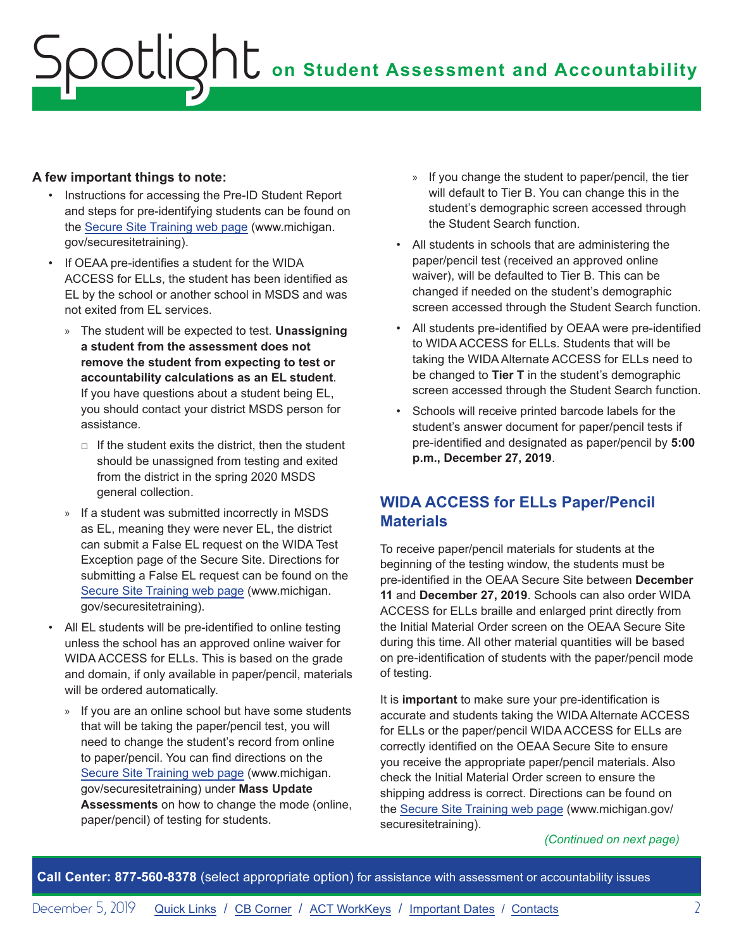#### <span id="page-1-0"></span>**A few important things to note:**

- Instructions for accessing the Pre-ID Student Report and steps for pre-identifying students can be found on the [Secure Site Training web page](http://www.michigan.gov/securesitetraining) (www.michigan. gov/securesitetraining).
- If OEAA pre-identifies a student for the WIDA ACCESS for ELLs, the student has been identified as EL by the school or another school in MSDS and was not exited from EL services.
	- » The student will be expected to test. **Unassigning a student from the assessment does not remove the student from expecting to test or accountability calculations as an EL student**. If you have questions about a student being EL, you should contact your district MSDS person for assistance.
		- $\Box$  If the student exits the district, then the student should be unassigned from testing and exited from the district in the spring 2020 MSDS general collection.
	- » If a student was submitted incorrectly in MSDS as EL, meaning they were never EL, the district can submit a False EL request on the WIDA Test Exception page of the Secure Site. Directions for submitting a False EL request can be found on the [Secure Site Training web page](http://www.michigan.gov/securesitetraining) (www.michigan. gov/securesitetraining).
- All EL students will be pre-identified to online testing unless the school has an approved online waiver for WIDA ACCESS for ELLs. This is based on the grade and domain, if only available in paper/pencil, materials will be ordered automatically.
	- » If you are an online school but have some students that will be taking the paper/pencil test, you will need to change the student's record from online to paper/pencil. You can find directions on the [Secure Site Training web page](http://www.michigan.gov/securesitetraining) (www.michigan. gov/securesitetraining) under **Mass Update Assessments** on how to change the mode (online, paper/pencil) of testing for students.
- » If you change the student to paper/pencil, the tier will default to Tier B. You can change this in the student's demographic screen accessed through the Student Search function.
- All students in schools that are administering the paper/pencil test (received an approved online waiver), will be defaulted to Tier B. This can be changed if needed on the student's demographic screen accessed through the Student Search function.
- All students pre-identified by OEAA were pre-identified to WIDA ACCESS for ELLs. Students that will be taking the WIDA Alternate ACCESS for ELLs need to be changed to **Tier T** in the student's demographic screen accessed through the Student Search function.
- Schools will receive printed barcode labels for the student's answer document for paper/pencil tests if pre-identified and designated as paper/pencil by **5:00 p.m., December 27, 2019**.

#### **WIDA ACCESS for ELLs Paper/Pencil Materials**

To receive paper/pencil materials for students at the beginning of the testing window, the students must be pre-identified in the OEAA Secure Site between **December 11** and **December 27, 2019**. Schools can also order WIDA ACCESS for ELLs braille and enlarged print directly from the Initial Material Order screen on the OEAA Secure Site during this time. All other material quantities will be based on pre-identification of students with the paper/pencil mode of testing.

It is **important** to make sure your pre-identification is accurate and students taking the WIDA Alternate ACCESS for ELLs or the paper/pencil WIDA ACCESS for ELLs are correctly identified on the OEAA Secure Site to ensure you receive the appropriate paper/pencil materials. Also check the Initial Material Order screen to ensure the shipping address is correct. Directions can be found on the [Secure Site Training web page](http://www.michigan.gov/securesitetraining) (www.michigan.gov/ securesitetraining).

*(Continued on next page)*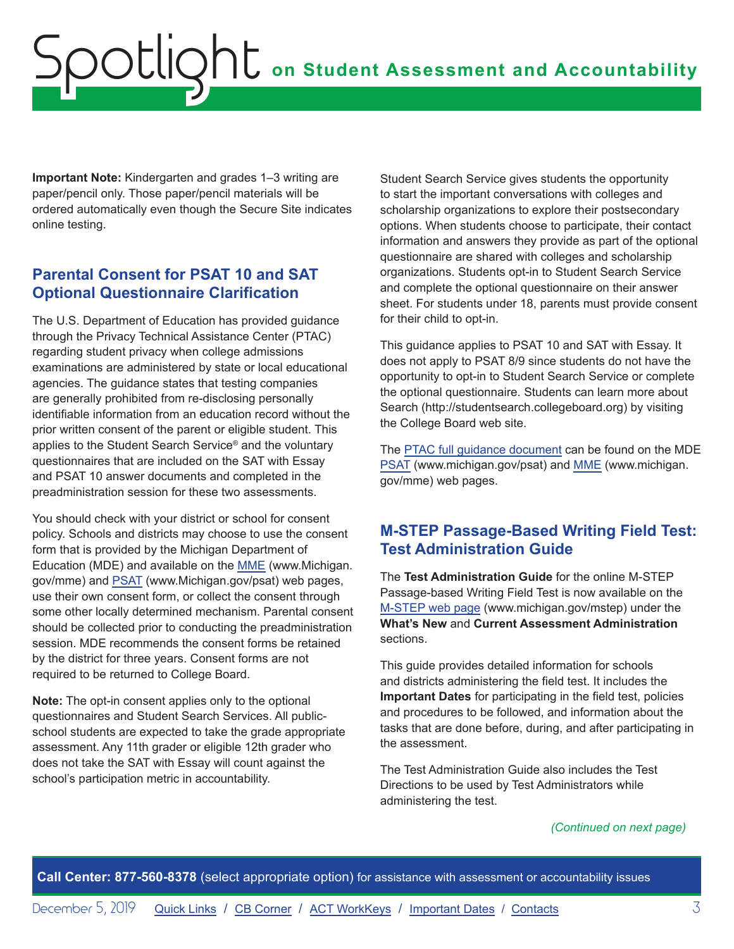<span id="page-2-0"></span>**Important Note:** Kindergarten and grades 1–3 writing are paper/pencil only. Those paper/pencil materials will be ordered automatically even though the Secure Site indicates online testing.

#### **Parental Consent for PSAT 10 and SAT Optional Questionnaire Clarification**

The U.S. Department of Education has provided guidance through the Privacy Technical Assistance Center (PTAC) regarding student privacy when college admissions examinations are administered by state or local educational agencies. The guidance states that testing companies are generally prohibited from re-disclosing personally identifiable information from an education record without the prior written consent of the parent or eligible student. This applies to the Student Search Service® and the voluntary questionnaires that are included on the SAT with Essay and PSAT 10 answer documents and completed in the preadministration session for these two assessments.

You should check with your district or school for consent policy. Schools and districts may choose to use the consent form that is provided by the Michigan Department of Education (MDE) and available on the [MME](www.michigan.gov/mme) (www.Michigan. gov/mme) and [PSAT](http://www.michigan.gov/psat) (www.Michigan.gov/psat) web pages, use their own consent form, or collect the consent through some other locally determined mechanism. Parental consent should be collected prior to conducting the preadministration session. MDE recommends the consent forms be retained by the district for three years. Consent forms are not required to be returned to College Board.

**Note:** The opt-in consent applies only to the optional questionnaires and Student Search Services. All publicschool students are expected to take the grade appropriate assessment. Any 11th grader or eligible 12th grader who does not take the SAT with Essay will count against the school's participation metric in accountability.

Student Search Service gives students the opportunity to start the important conversations with colleges and scholarship organizations to explore their postsecondary options. When students choose to participate, their contact information and answers they provide as part of the optional questionnaire are shared with colleges and scholarship organizations. Students opt-in to Student Search Service and complete the optional questionnaire on their answer sheet. For students under 18, parents must provide consent for their child to opt-in.

This guidance applies to PSAT 10 and SAT with Essay. It does not apply to PSAT 8/9 since students do not have the opportunity to opt-in to Student Search Service or complete the optional questionnaire. Students can learn more about Search (http://studentsearch.collegeboard.org) by visiting the College Board web site.

The [PTAC full guidance document](https://studentprivacy.ed.gov/sites/default/files/resource_document/file/TA%20College%20Admissions%20Examinations.pdf) can be found on the [MDE](http://www.michigan.gov/psat)  [PSAT](http://www.michigan.gov/psat) (www.michigan.gov/psat) and [MME](www.michigan.gov/mme) (www.michigan. gov/mme) web pages.

#### **M-STEP Passage-Based Writing Field Test: Test Administration Guide**

The **Test Administration Guide** for the online M-STEP Passage-based Writing Field Test is now available on the [M-STEP web page](www.michigan.gov/mstep) (www.michigan.gov/mstep) under the **What's New** and **Current Assessment Administration** sections.

This guide provides detailed information for schools and districts administering the field test. It includes the **Important Dates** for participating in the field test, policies and procedures to be followed, and information about the tasks that are done before, during, and after participating in the assessment.

The Test Administration Guide also includes the Test Directions to be used by Test Administrators while administering the test.

#### *(Continued on next page)*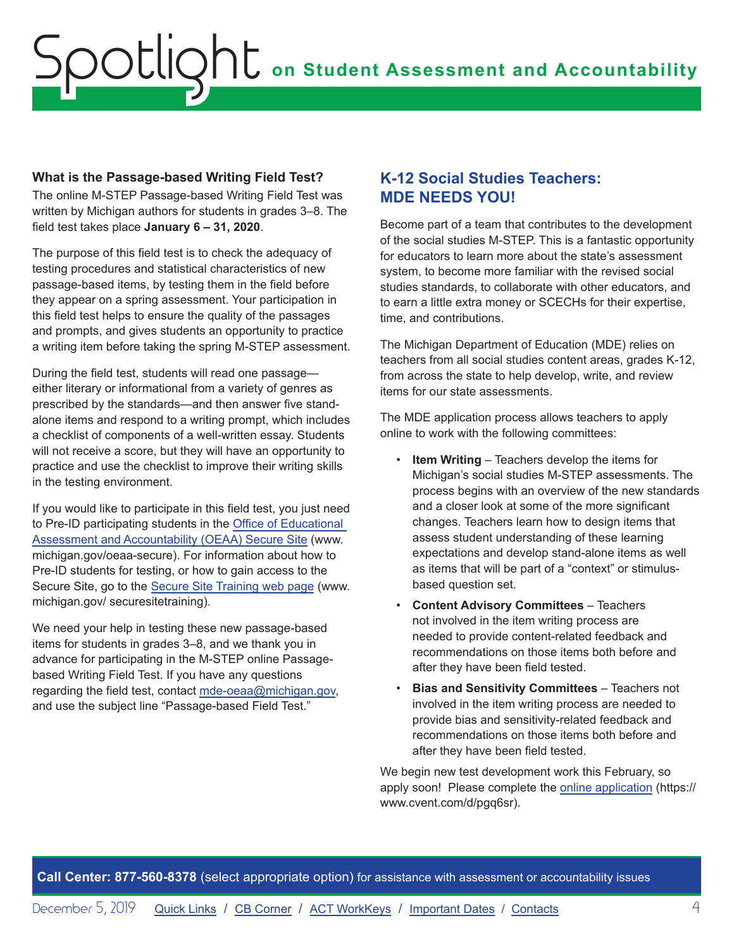#### <span id="page-3-0"></span>**What is the Passage-based Writing Field Test?**

The online M-STEP Passage-based Writing Field Test was written by Michigan authors for students in grades 3–8. The field test takes place **January 6 – 31, 2020**.

The purpose of this field test is to check the adequacy of testing procedures and statistical characteristics of new passage-based items, by testing them in the field before they appear on a spring assessment. Your participation in this field test helps to ensure the quality of the passages and prompts, and gives students an opportunity to practice a writing item before taking the spring M-STEP assessment.

During the field test, students will read one passage either literary or informational from a variety of genres as prescribed by the standards—and then answer five standalone items and respond to a writing prompt, which includes a checklist of components of a well-written essay. Students will not receive a score, but they will have an opportunity to practice and use the checklist to improve their writing skills in the testing environment.

If you would like to participate in this field test, you just need to Pre-ID participating students in the [Office of Educational](http://www.michigan.gov/oeaa-secure)  [Assessment and Accountability \(OEAA\) Secure Site](http://www.michigan.gov/oeaa-secure) (www. michigan.gov/oeaa-secure). For information about how to Pre-ID students for testing, or how to gain access to the Secure Site, go to the [Secure Site Training web page](http://www.michigan.gov/securesitetraining) (www. michigan.gov/ securesitetraining).

We need your help in testing these new passage-based items for students in grades 3–8, and we thank you in advance for participating in the M-STEP online Passagebased Writing Field Test. If you have any questions regarding the field test, contact [mde-oeaa@michigan.gov,](mailto:mde-oeaa%40michigan.gov?subject=Passage-based%20Field%20Test) and use the subject line "Passage-based Field Test."

#### **K-12 Social Studies Teachers: MDE NEEDS YOU!**

Become part of a team that contributes to the development of the social studies M-STEP. This is a fantastic opportunity for educators to learn more about the state's assessment system, to become more familiar with the revised social studies standards, to collaborate with other educators, and to earn a little extra money or SCECHs for their expertise, time, and contributions.

The Michigan Department of Education (MDE) relies on teachers from all social studies content areas, grades K-12, from across the state to help develop, write, and review items for our state assessments.

The MDE application process allows teachers to apply online to work with the following committees:

- **Item Writing** Teachers develop the items for Michigan's social studies M-STEP assessments. The process begins with an overview of the new standards and a closer look at some of the more significant changes. Teachers learn how to design items that assess student understanding of these learning expectations and develop stand-alone items as well as items that will be part of a "context" or stimulusbased question set.
- **Content Advisory Committees** Teachers not involved in the item writing process are needed to provide content-related feedback and recommendations on those items both before and after they have been field tested.
- **Bias and Sensitivity Committees** Teachers not involved in the item writing process are needed to provide bias and sensitivity-related feedback and recommendations on those items both before and after they have been field tested.

We begin new test development work this February, so apply soon! Please complete the [online application](https://www.cvent.com/d/pgq6sr) (https:// www.cvent.com/d/pgq6sr).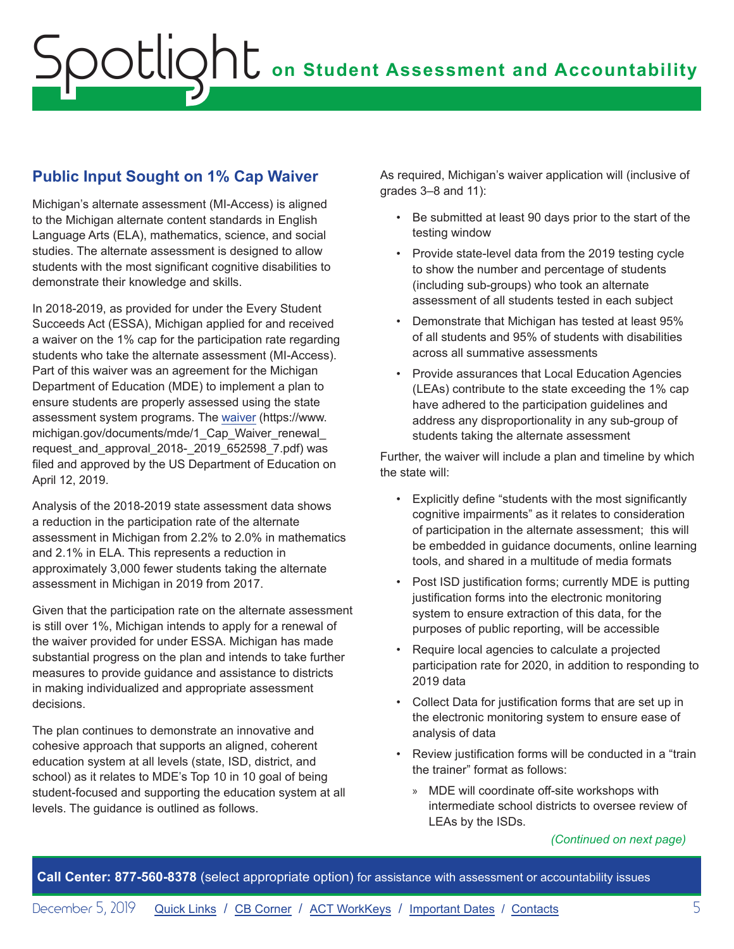#### <span id="page-4-0"></span>**Public Input Sought on 1% Cap Waiver**

Michigan's alternate assessment (MI-Access) is aligned to the Michigan alternate content standards in English Language Arts (ELA), mathematics, science, and social studies. The alternate assessment is designed to allow students with the most significant cognitive disabilities to demonstrate their knowledge and skills.

In 2018-2019, as provided for under the Every Student Succeeds Act (ESSA), Michigan applied for and received a waiver on the 1% cap for the participation rate regarding students who take the alternate assessment (MI-Access). Part of this waiver was an agreement for the Michigan Department of Education (MDE) to implement a plan to ensure students are properly assessed using the state assessment system programs. The [waiver](https://www.michigan.gov/documents/mde/1_Cap_Waiver_renewal_request_and_approval_2018-_2019_652598_7.pdf) (https://www. michigan.gov/documents/mde/1\_Cap\_Waiver\_renewal request\_and\_approval\_2018-\_2019\_652598\_7.pdf) was filed and approved by the US Department of Education on April 12, 2019.

Analysis of the 2018-2019 state assessment data shows a reduction in the participation rate of the alternate assessment in Michigan from 2.2% to 2.0% in mathematics and 2.1% in ELA. This represents a reduction in approximately 3,000 fewer students taking the alternate assessment in Michigan in 2019 from 2017.

Given that the participation rate on the alternate assessment is still over 1%, Michigan intends to apply for a renewal of the waiver provided for under ESSA. Michigan has made substantial progress on the plan and intends to take further measures to provide guidance and assistance to districts in making individualized and appropriate assessment decisions.

The plan continues to demonstrate an innovative and cohesive approach that supports an aligned, coherent education system at all levels (state, ISD, district, and school) as it relates to MDE's Top 10 in 10 goal of being student-focused and supporting the education system at all levels. The guidance is outlined as follows.

As required, Michigan's waiver application will (inclusive of grades 3–8 and 11):

- Be submitted at least 90 days prior to the start of the testing window
- Provide state-level data from the 2019 testing cycle to show the number and percentage of students (including sub-groups) who took an alternate assessment of all students tested in each subject
- Demonstrate that Michigan has tested at least 95% of all students and 95% of students with disabilities across all summative assessments
- Provide assurances that Local Education Agencies (LEAs) contribute to the state exceeding the 1% cap have adhered to the participation guidelines and address any disproportionality in any sub-group of students taking the alternate assessment

Further, the waiver will include a plan and timeline by which the state will:

- Explicitly define "students with the most significantly cognitive impairments" as it relates to consideration of participation in the alternate assessment; this will be embedded in guidance documents, online learning tools, and shared in a multitude of media formats
- Post ISD justification forms; currently MDE is putting justification forms into the electronic monitoring system to ensure extraction of this data, for the purposes of public reporting, will be accessible
- Require local agencies to calculate a projected participation rate for 2020, in addition to responding to 2019 data
- Collect Data for justification forms that are set up in the electronic monitoring system to ensure ease of analysis of data
- Review justification forms will be conducted in a "train the trainer" format as follows:
	- » MDE will coordinate off-site workshops with intermediate school districts to oversee review of LEAs by the ISDs.

*(Continued on next page)*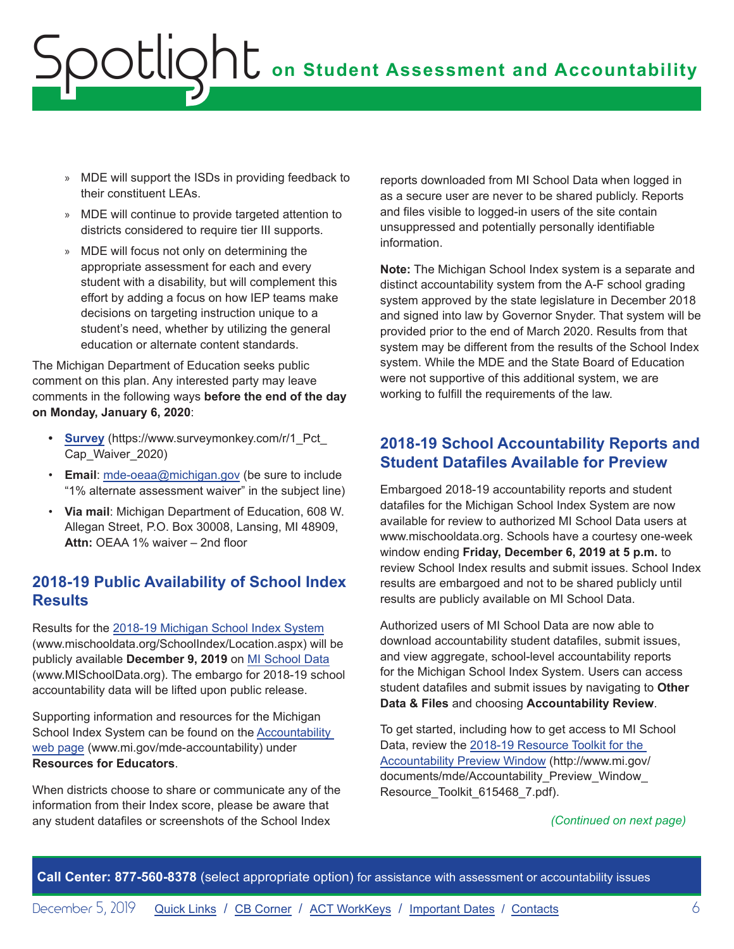- <span id="page-5-0"></span>» MDE will support the ISDs in providing feedback to their constituent LEAs.
- » MDE will continue to provide targeted attention to districts considered to require tier III supports.
- » MDE will focus not only on determining the appropriate assessment for each and every student with a disability, but will complement this effort by adding a focus on how IEP teams make decisions on targeting instruction unique to a student's need, whether by utilizing the general education or alternate content standards.

The Michigan Department of Education seeks public comment on this plan. Any interested party may leave comments in the following ways **before the end of the day on Monday, January 6, 2020**:

- **[Survey](https://www.surveymonkey.com/r/1_Pct_Cap_Waiver_2020)** (https://www.surveymonkey.com/r/1 Pct Cap\_Waiver\_2020)
- **Email**: [mde-oeaa@michigan.gov](mailto:mde-oeaa%40michigan.gov?subject=1%25%20alternate%20assessment%20waiver) (be sure to include "1% alternate assessment waiver" in the subject line)
- **Via mail**: Michigan Department of Education, 608 W. Allegan Street, P.O. Box 30008, Lansing, MI 48909, **Attn:** OEAA 1% waiver – 2nd floor

#### **2018-19 Public Availability of School Index Results**

Results for the [2018-19 Michigan School Index System](http://www.mischooldata.org/SchoolIndex/Location.aspx) (www.mischooldata.org/SchoolIndex/Location.aspx) will be publicly available **December 9, 2019** on [MI School Data](https://www.mischooldata.org/) (www.MISchoolData.org). The embargo for 2018-19 school accountability data will be lifted upon public release.

Supporting information and resources for the Michigan School Index System can be found on the [Accountability](http://www.mi.gov/mde-accountability)  [web page](http://www.mi.gov/mde-accountability) (www.mi.gov/mde-accountability) under **Resources for Educators**.

When districts choose to share or communicate any of the information from their Index score, please be aware that any student datafiles or screenshots of the School Index

reports downloaded from MI School Data when logged in as a secure user are never to be shared publicly. Reports and files visible to logged-in users of the site contain unsuppressed and potentially personally identifiable information.

**Note:** The Michigan School Index system is a separate and distinct accountability system from the A-F school grading system approved by the state legislature in December 2018 and signed into law by Governor Snyder. That system will be provided prior to the end of March 2020. Results from that system may be different from the results of the School Index system. While the MDE and the State Board of Education were not supportive of this additional system, we are working to fulfill the requirements of the law.

#### **2018-19 School Accountability Reports and Student Datafiles Available for Preview**

Embargoed 2018-19 accountability reports and student datafiles for the Michigan School Index System are now available for review to authorized MI School Data users at www.mischooldata.org. Schools have a courtesy one-week window ending **Friday, December 6, 2019 at 5 p.m.** to review School Index results and submit issues. School Index results are embargoed and not to be shared publicly until results are publicly available on MI School Data.

Authorized users of MI School Data are now able to download accountability student datafiles, submit issues, and view aggregate, school-level accountability reports for the Michigan School Index System. Users can access student datafiles and submit issues by navigating to **Other Data & Files** and choosing **Accountability Review**.

To get started, including how to get access to MI School Data, review the [2018-19 Resource Toolkit for the](http://www.mi.gov/documents/mde/Accountability_Preview_Window_Resource_Toolkit_615468_7.pdf)  [Accountability Preview Window](http://www.mi.gov/documents/mde/Accountability_Preview_Window_Resource_Toolkit_615468_7.pdf) (http://www.mi.gov/ documents/mde/Accountability\_Preview\_Window\_ Resource\_Toolkit\_615468\_7.pdf).

#### *(Continued on next page)*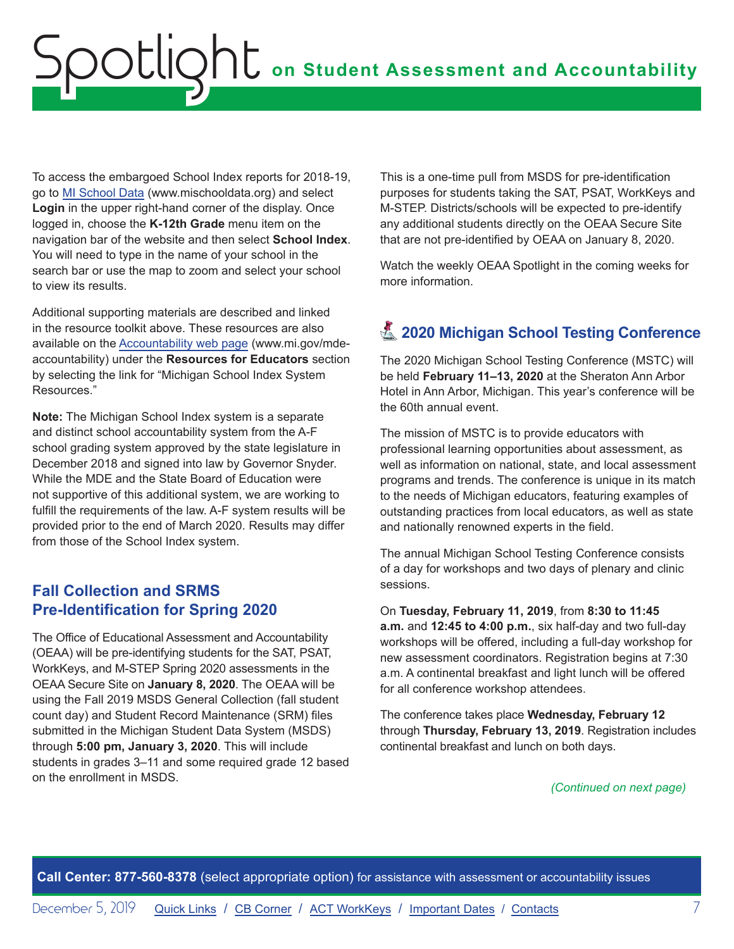<span id="page-6-0"></span>To access the embargoed School Index reports for 2018-19, go to [MI School Data](https://www.mischooldata.org/) (www.mischooldata.org) and select **Login** in the upper right-hand corner of the display. Once logged in, choose the **K-12th Grade** menu item on the navigation bar of the website and then select **School Index**. You will need to type in the name of your school in the search bar or use the map to zoom and select your school to view its results.

Additional supporting materials are described and linked in the resource toolkit above. These resources are also available on the [Accountability web page](http://www.mi.gov/mde-accountability) (www.mi.gov/mdeaccountability) under the **Resources for Educators** section by selecting the link for "Michigan School Index System Resources."

**Note:** The Michigan School Index system is a separate and distinct school accountability system from the A-F school grading system approved by the state legislature in December 2018 and signed into law by Governor Snyder. While the MDE and the State Board of Education were not supportive of this additional system, we are working to fulfill the requirements of the law. A-F system results will be provided prior to the end of March 2020. Results may differ from those of the School Index system.

#### **Fall Collection and SRMS Pre-Identification for Spring 2020**

The Office of Educational Assessment and Accountability (OEAA) will be pre-identifying students for the SAT, PSAT, WorkKeys, and M-STEP Spring 2020 assessments in the OEAA Secure Site on **January 8, 2020**. The OEAA will be using the Fall 2019 MSDS General Collection (fall student count day) and Student Record Maintenance (SRM) files submitted in the Michigan Student Data System (MSDS) through **5:00 pm, January 3, 2020**. This will include students in grades 3–11 and some required grade 12 based on the enrollment in MSDS.

This is a one-time pull from MSDS for pre-identification purposes for students taking the SAT, PSAT, WorkKeys and M-STEP. Districts/schools will be expected to pre-identify any additional students directly on the OEAA Secure Site that are not pre-identified by OEAA on January 8, 2020.

Watch the weekly OEAA Spotlight in the coming weeks for more information.

### **A 2020 Michigan School Testing Conference**

The 2020 Michigan School Testing Conference (MSTC) will be held **February 11–13, 2020** at the Sheraton Ann Arbor Hotel in Ann Arbor, Michigan. This year's conference will be the 60th annual event.

The mission of MSTC is to provide educators with professional learning opportunities about assessment, as well as information on national, state, and local assessment programs and trends. The conference is unique in its match to the needs of Michigan educators, featuring examples of outstanding practices from local educators, as well as state and nationally renowned experts in the field.

The annual Michigan School Testing Conference consists of a day for workshops and two days of plenary and clinic sessions.

On **Tuesday, February 11, 2019**, from **8:30 to 11:45 a.m.** and **12:45 to 4:00 p.m.**, six half-day and two full-day workshops will be offered, including a full-day workshop for new assessment coordinators. Registration begins at 7:30 a.m. A continental breakfast and light lunch will be offered for all conference workshop attendees.

The conference takes place **Wednesday, February 12** through **Thursday, February 13, 2019**. Registration includes continental breakfast and lunch on both days.

#### *(Continued on next page)*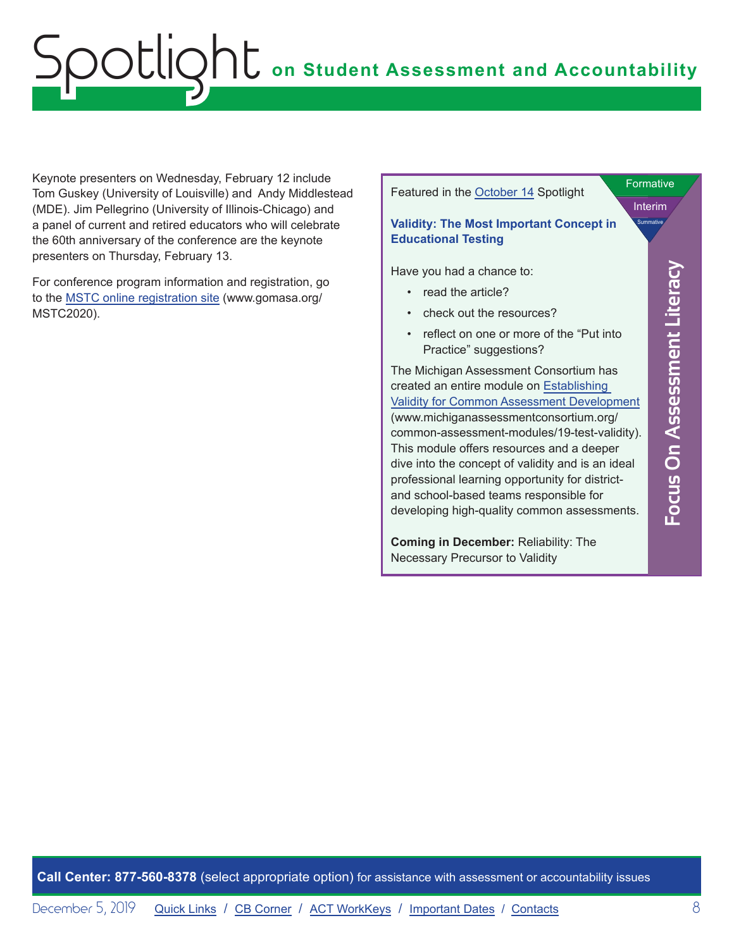Keynote presenters on Wednesday, February 12 include Tom Guskey (University of Louisville) and Andy Middlestead (MDE). Jim Pellegrino (University of Illinois-Chicago) and a panel of current and retired educators who will celebrate the 60th anniversary of the conference are the keynote presenters on Thursday, February 13.

For conference program information and registration, go to the [MSTC online registration site](http://www.gomasa.org/MSTC2020) (www.gomasa.org/ MSTC2020).

Featured in the [October 14](https://www.michigan.gov/documents/mde/Spotlight_11-14-19_671461_7.pdf) Spotlight

#### Interim Formative

**Summative** 

<span id="page-7-0"></span>**Focus On Assessment Literacy**

Focus On Assessment Literacy

#### **Validity: The Most Important Concept in Educational Testing**

Have you had a chance to:

- read the article?
- check out the resources?
- reflect on one or more of the "Put into Practice" suggestions?

The Michigan Assessment Consortium has created an entire module on [Establishing](https://www.michiganassessmentconsortium.org/common-assessment-modules/19-test-validity/)  [Validity for Common Assessment Development](https://www.michiganassessmentconsortium.org/common-assessment-modules/19-test-validity/) (www.michiganassessmentconsortium.org/ common-assessment-modules/19-test-validity). This module offers resources and a deeper dive into the concept of validity and is an ideal professional learning opportunity for districtand school-based teams responsible for developing high-quality common assessments.

**Coming in December:** Reliability: The Necessary Precursor to Validity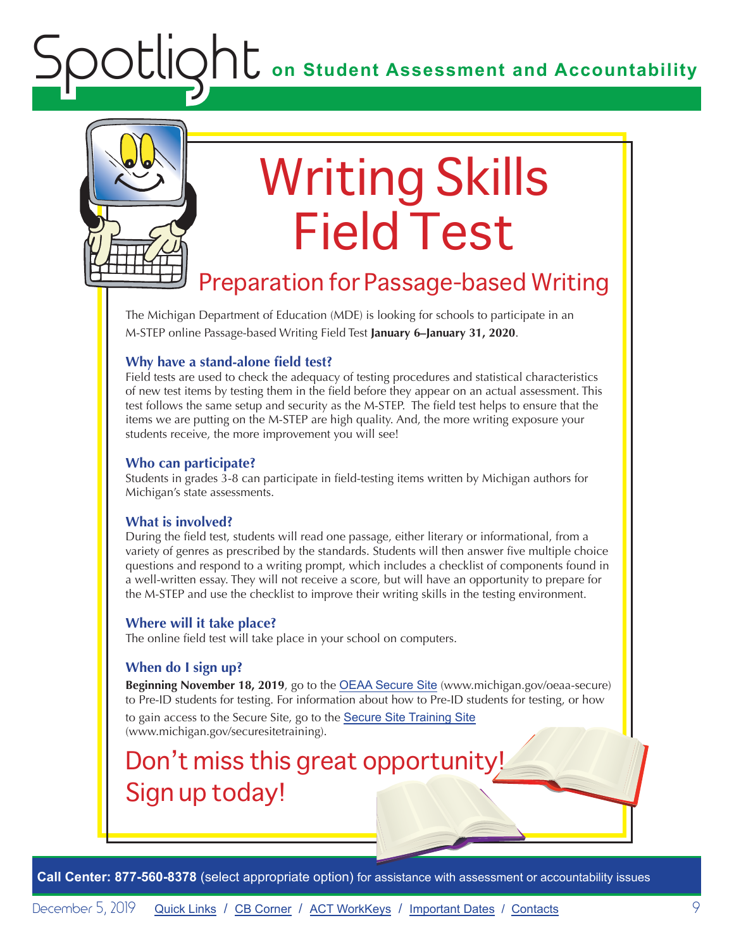<span id="page-8-0"></span>

# Writing Skills Field Test

### Preparation for Passage-based Writing

The Michigan Department of Education (MDE) is looking for schools to participate in an M-STEP online Passage-based Writing Field Test **January 6–January 31, 2020**.

#### **Why have a stand-alone field test?**

Field tests are used to check the adequacy of testing procedures and statistical characteristics of new test items by testing them in the field before they appear on an actual assessment. This test follows the same setup and security as the M-STEP. The field test helps to ensure that the items we are putting on the M-STEP are high quality. And, the more writing exposure your students receive, the more improvement you will see!

#### **Who can participate?**

Students in grades 3-8 can participate in field-testing items written by Michigan authors for Michigan's state assessments.

#### **What is involved?**

During the field test, students will read one passage, either literary or informational, from a variety of genres as prescribed by the standards. Students will then answer five multiple choice questions and respond to a writing prompt, which includes a checklist of components found in a well-written essay. They will not receive a score, but will have an opportunity to prepare for the M-STEP and use the checklist to improve their writing skills in the testing environment.

#### **Where will it take place?**

The online field test will take place in your school on computers.

#### **When do I sign up?**

**Beginning November 18, 2019**, go to the [OEAA Secure Site](http://www.michigan.gov/oeaa-secure) (www.michigan.gov/oeaa-secure) to Pre-ID students for testing. For information about how to Pre-ID students for testing, or how

to gain access to the Secure Site, go to the [Secure Site Training Site](http://www.michigan.gov/securesitetraining) (www.michigan.gov/securesitetraining).

## Don't miss this great opportunity! Sign up today!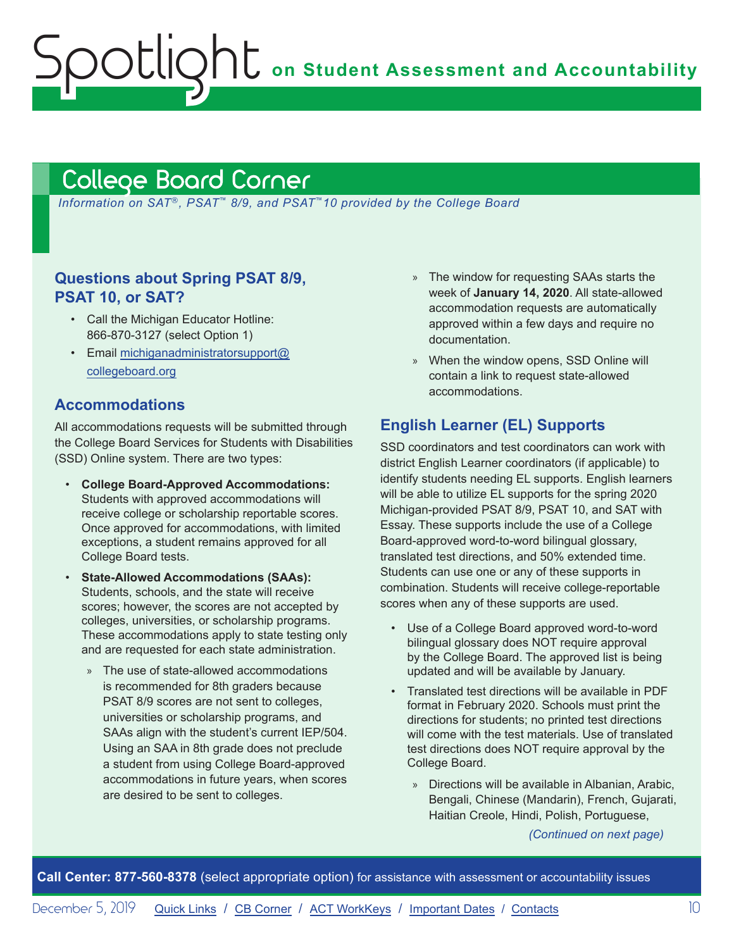**ONU** on Student Assessment and Accountability

## <span id="page-9-1"></span>College Board Corner

<span id="page-9-0"></span>Otlic

*Information on SAT*®*, PSAT*™ *8/9, and PSAT*™*10 provided by the College Board*

#### **Questions about Spring PSAT 8/9, PSAT 10, or SAT?**

- Call the Michigan Educator Hotline: 866-870-3127 (select Option 1)
- Email [michiganadministratorsupport@](mailto:michiganadministratorsupport%40collegeboard.org?subject=) [collegeboard.org](mailto:michiganadministratorsupport%40collegeboard.org?subject=)

#### **Accommodations**

All accommodations requests will be submitted through the College Board Services for Students with Disabilities (SSD) Online system. There are two types:

- **College Board-Approved Accommodations:**  Students with approved accommodations will receive college or scholarship reportable scores. Once approved for accommodations, with limited exceptions, a student remains approved for all College Board tests.
- **State-Allowed Accommodations (SAAs):** Students, schools, and the state will receive scores; however, the scores are not accepted by colleges, universities, or scholarship programs. These accommodations apply to state testing only and are requested for each state administration.
	- » The use of state-allowed accommodations is recommended for 8th graders because PSAT 8/9 scores are not sent to colleges, universities or scholarship programs, and SAAs align with the student's current IEP/504. Using an SAA in 8th grade does not preclude a student from using College Board-approved accommodations in future years, when scores are desired to be sent to colleges.
- » The window for requesting SAAs starts the week of **January 14, 2020**. All state-allowed accommodation requests are automatically approved within a few days and require no documentation.
- » When the window opens, SSD Online will contain a link to request state-allowed accommodations.

#### **English Learner (EL) Supports**

SSD coordinators and test coordinators can work with district English Learner coordinators (if applicable) to identify students needing EL supports. English learners will be able to utilize EL supports for the spring 2020 Michigan-provided PSAT 8/9, PSAT 10, and SAT with Essay. These supports include the use of a College Board-approved word-to-word bilingual glossary, translated test directions, and 50% extended time. Students can use one or any of these supports in combination. Students will receive college-reportable scores when any of these supports are used.

- Use of a College Board approved word-to-word bilingual glossary does NOT require approval by the College Board. The approved list is being updated and will be available by January.
- Translated test directions will be available in PDF format in February 2020. Schools must print the directions for students; no printed test directions will come with the test materials. Use of translated test directions does NOT require approval by the College Board.
	- » Directions will be available in Albanian, Arabic, Bengali, Chinese (Mandarin), French, Gujarati, Haitian Creole, Hindi, Polish, Portuguese,

*(Continued on next page)*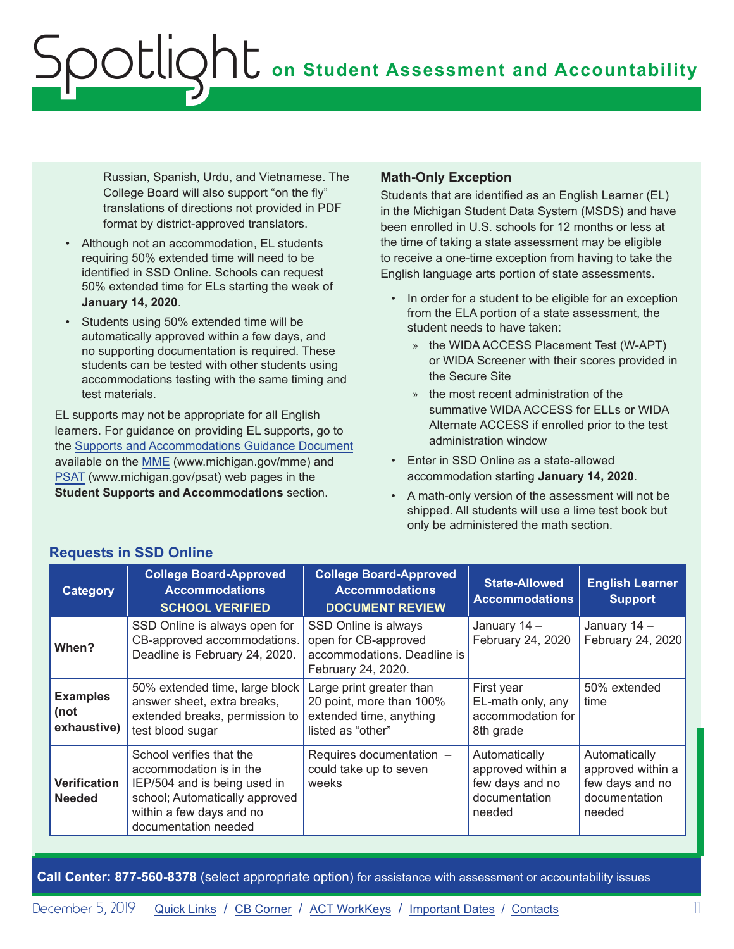Russian, Spanish, Urdu, and Vietnamese. The College Board will also support "on the fly" translations of directions not provided in PDF format by district-approved translators.

- Although not an accommodation, EL students requiring 50% extended time will need to be identified in SSD Online. Schools can request 50% extended time for ELs starting the week of **January 14, 2020**.
- Students using 50% extended time will be automatically approved within a few days, and no supporting documentation is required. These students can be tested with other students using accommodations testing with the same timing and test materials.

EL supports may not be appropriate for all English learners. For guidance on providing EL supports, go to the [Supports and Accommodations Guidance Document](https://www.michigan.gov/documents/mde/Michigan_Accommodations_Manual.final_480016_7.pdf)  available on the [MME](www.michigan.gov/mme) (www.michigan.gov/mme) and [PSAT](http://www.michigan.gov/psat) (www.michigan.gov/psat) web pages in the **Student Supports and Accommodations** section.

#### **Math-Only Exception**

Students that are identified as an English Learner (EL) in the Michigan Student Data System (MSDS) and have been enrolled in U.S. schools for 12 months or less at the time of taking a state assessment may be eligible to receive a one-time exception from having to take the English language arts portion of state assessments.

- In order for a student to be eligible for an exception from the ELA portion of a state assessment, the student needs to have taken:
	- » the WIDA ACCESS Placement Test (W-APT) or WIDA Screener with their scores provided in the Secure Site
	- » the most recent administration of the summative WIDA ACCESS for ELLs or WIDA Alternate ACCESS if enrolled prior to the test administration window
- Enter in SSD Online as a state-allowed accommodation starting **January 14, 2020**.
- A math-only version of the assessment will not be shipped. All students will use a lime test book but only be administered the math section.

| <b>Category</b>                        | <b>College Board-Approved</b><br><b>Accommodations</b><br><b>SCHOOL VERIFIED</b>                                                                                          | <b>College Board-Approved</b><br><b>Accommodations</b><br><b>DOCUMENT REVIEW</b>                     | <b>State-Allowed</b><br><b>Accommodations</b>                                    | <b>English Learner</b><br><b>Support</b>                                         |
|----------------------------------------|---------------------------------------------------------------------------------------------------------------------------------------------------------------------------|------------------------------------------------------------------------------------------------------|----------------------------------------------------------------------------------|----------------------------------------------------------------------------------|
| When?                                  | SSD Online is always open for<br>CB-approved accommodations.<br>Deadline is February 24, 2020.                                                                            | SSD Online is always<br>open for CB-approved<br>accommodations. Deadline is<br>February 24, 2020.    | January 14 -<br>February 24, 2020                                                | January 14 -<br>February 24, 2020                                                |
| <b>Examples</b><br>(not<br>exhaustive) | 50% extended time, large block<br>answer sheet, extra breaks,<br>extended breaks, permission to<br>test blood sugar                                                       | Large print greater than<br>20 point, more than 100%<br>extended time, anything<br>listed as "other" | First year<br>EL-math only, any<br>accommodation for<br>8th grade                | 50% extended<br>time                                                             |
| <b>Verification</b><br><b>Needed</b>   | School verifies that the<br>accommodation is in the<br>IEP/504 and is being used in<br>school; Automatically approved<br>within a few days and no<br>documentation needed | Requires documentation -<br>could take up to seven<br>weeks                                          | Automatically<br>approved within a<br>few days and no<br>documentation<br>needed | Automatically<br>approved within a<br>few days and no<br>documentation<br>needed |

**Requests in SSD Online**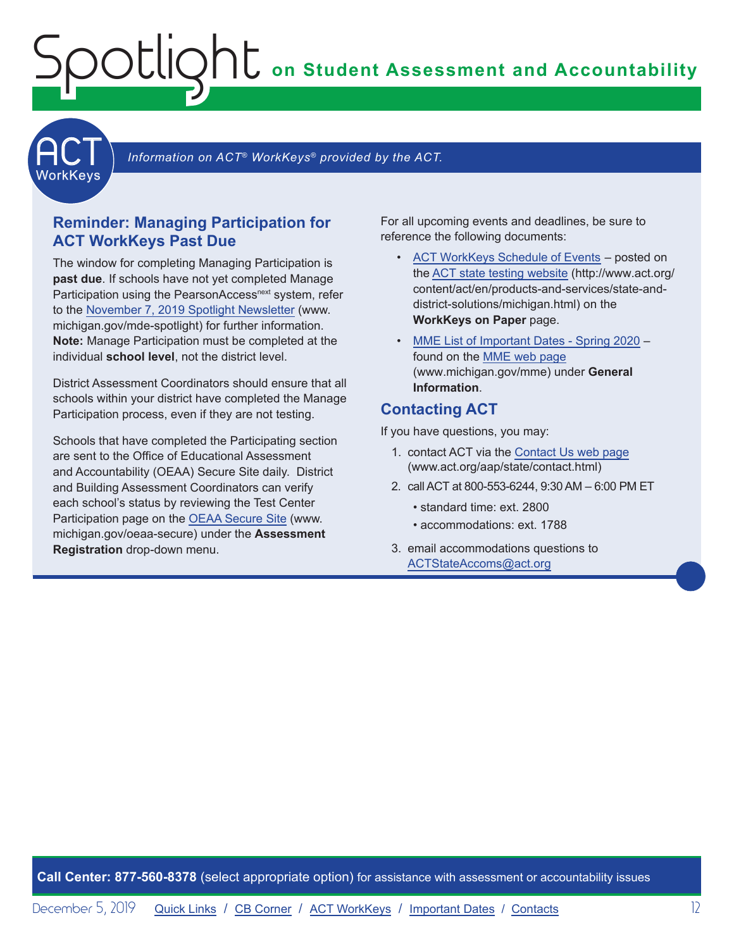**on Student Assessment and Accountability**



Information on ACT<sup>®</sup> WorkKeys<sup>®</sup> provided by the ACT.

#### **Reminder: Managing Participation for ACT WorkKeys Past Due**

<span id="page-11-0"></span>Spotlight

The window for completing Managing Participation is **past due**. If schools have not yet completed Manage Participation using the PearsonAccess<sup>next</sup> system, refer to the [November 7, 2019 Spotlight Newsletter](https://www.michigan.gov/documents/mde/Spotlight_11-7-19_670956_7.pdf) (www. michigan.gov/mde-spotlight) for further information. **Note:** Manage Participation must be completed at the individual **school level**, not the district level.

District Assessment Coordinators should ensure that all schools within your district have completed the Manage Participation process, even if they are not testing.

Schools that have completed the Participating section are sent to the Office of Educational Assessment and Accountability (OEAA) Secure Site daily. District and Building Assessment Coordinators can verify each school's status by reviewing the Test Center Participation page on the [OEAA Secure Site](http://www.michigan.gov/oeaa-secure) (www. michigan.gov/oeaa-secure) under the **Assessment Registration** drop-down menu.

For all upcoming events and deadlines, be sure to reference the following documents:

- [ACT WorkKeys Schedule of Events](http://www.act.org/content/dam/act/unsecured/documents/ScheduleofEventsWorkKeys-MI.pdf)  posted on the [ACT state testing website](http://www.act.org/content/act/en/products-and-services/state-and-district-solutions/michigan.html) (http://www.act.org/ content/act/en/products-and-services/state-anddistrict-solutions/michigan.html) on the **WorkKeys on Paper** page.
- [MME List of Important Dates Spring 2020](https://www.michigan.gov/documents/mde/MME_List_of_Important_Dates_668755_7.pdf) found on the [MME web page](www.michigan.gov/mme) (www.michigan.gov/mme) under **General Information**.

#### **Contacting ACT**

If you have questions, you may:

- 1. contact ACT via the [Contact Us web page](http://www.act.org/aap/state/contact.html) [\(www.act.org/aap/state/contact.html\)](https://www.act.org/aap/state/contact.html)
- 2. call ACT at 800-553-6244, 9:30 AM 6:00 PM ET
	- standard time: ext. 2800
	- accommodations: ext. 1788
- 3. email accommodations questions to [ACTStateAccoms@act.org](mailto:ACTStateAccoms%40act.org?subject=)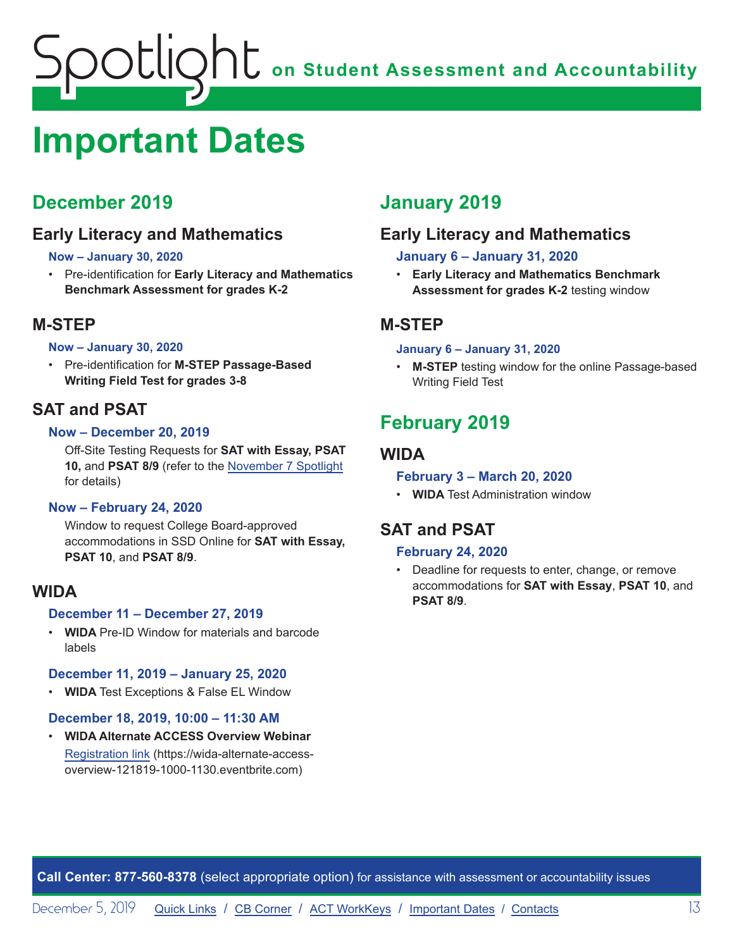## <span id="page-12-1"></span><span id="page-12-0"></span>**Important Dates**

### **December 2019**

#### **Early Literacy and Mathematics**

#### **Now – January 30, 2020**

• Pre-identification for **Early Literacy and Mathematics Benchmark Assessment for grades K-2**

#### **M-STEP**

#### **Now – January 30, 2020**

• Pre-identification for **M-STEP Passage-Based Writing Field Test for grades 3-8**

#### **SAT and PSAT**

#### **Now – December 20, 2019**

Off-Site Testing Requests for **SAT with Essay, PSAT 10,** and **PSAT 8/9** (refer to the [November 7 Spotlight](https://www.michigan.gov/documents/mde/Spotlight_11-7-19_670956_7.pdf) for details)

#### **Now – February 24, 2020**

Window to request College Board-approved accommodations in SSD Online for **SAT with Essay, PSAT 10**, and **PSAT 8/9**.

#### **WIDA**

#### **December 11 – December 27, 2019**

• **WIDA** Pre-ID Window for materials and barcode labels

#### **December 11, 2019 – January 25, 2020**

• **WIDA** Test Exceptions & False EL Window

#### **December 18, 2019, 10:00 – 11:30 AM**

• **WIDA Alternate ACCESS Overview Webinar** [Registration link](https://wida-alternate-access-overview-121819-1000-1130.eventbrite.com) (https://wida-alternate-accessoverview-121819-1000-1130.eventbrite.com)

### **January 2019**

#### **Early Literacy and Mathematics**

#### **January 6 – January 31, 2020**

• **Early Literacy and Mathematics Benchmark Assessment for grades K-2** testing window

#### **M-STEP**

#### **January 6 – January 31, 2020**

**M-STEP** testing window for the online Passage-based Writing Field Test

### **February 2019**

#### **WIDA**

#### **February 3 – March 20, 2020**

• **WIDA** Test Administration window

#### **SAT and PSAT**

#### **February 24, 2020**

• Deadline for requests to enter, change, or remove accommodations for **SAT with Essay**, **PSAT 10**, and **PSAT 8/9**.